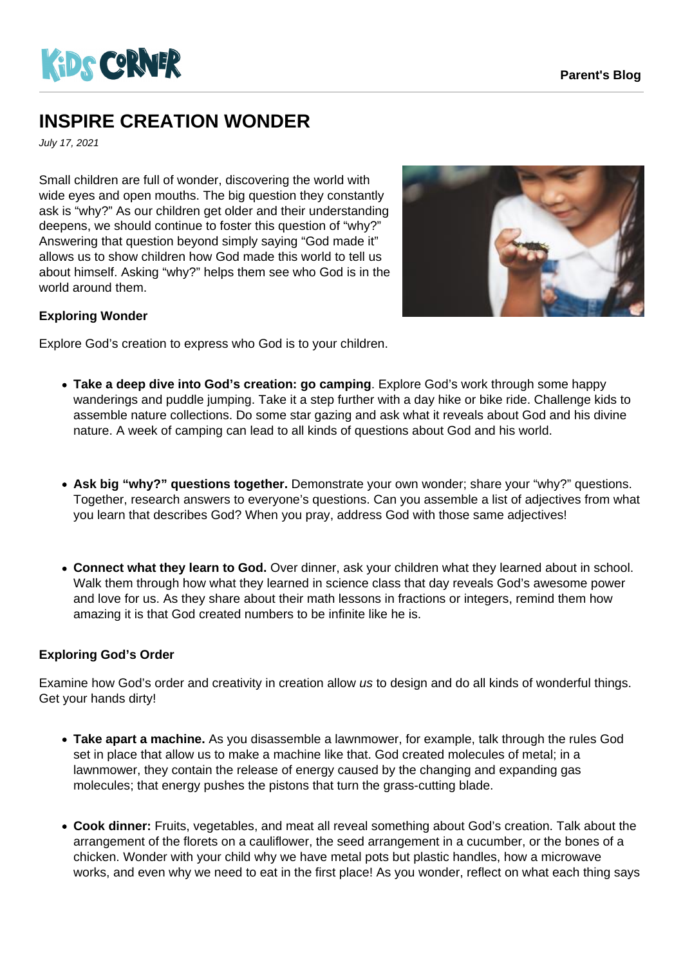

## **INSPIRE CREATION WONDER**

July 17, 2021

Small children are full of wonder, discovering the world with wide eyes and open mouths. The big question they constantly ask is "why?" As our children get older and their understanding deepens, we should continue to foster this question of "why?" Answering that question beyond simply saying "God made it" allows us to show children how God made this world to tell us about himself. Asking "why?" helps them see who God is in the world around them.



## **Exploring Wonder**

Explore God's creation to express who God is to your children.

- **Take a deep dive into God's creation: go camping**. Explore God's work through some happy wanderings and puddle jumping. Take it a step further with a day hike or bike ride. Challenge kids to assemble nature collections. Do some star gazing and ask what it reveals about God and his divine nature. A week of camping can lead to all kinds of questions about God and his world.
- **Ask big "why?" questions together.** Demonstrate your own wonder; share your "why?" questions. Together, research answers to everyone's questions. Can you assemble a list of adjectives from what you learn that describes God? When you pray, address God with those same adjectives!
- **Connect what they learn to God.** Over dinner, ask your children what they learned about in school. Walk them through how what they learned in science class that day reveals God's awesome power and love for us. As they share about their math lessons in fractions or integers, remind them how amazing it is that God created numbers to be infinite like he is.

## **Exploring God's Order**

Examine how God's order and creativity in creation allow us to design and do all kinds of wonderful things. Get your hands dirty!

- **Take apart a machine.** As you disassemble a lawnmower, for example, talk through the rules God set in place that allow us to make a machine like that. God created molecules of metal; in a lawnmower, they contain the release of energy caused by the changing and expanding gas molecules; that energy pushes the pistons that turn the grass-cutting blade.
- **Cook dinner:** Fruits, vegetables, and meat all reveal something about God's creation. Talk about the arrangement of the florets on a cauliflower, the seed arrangement in a cucumber, or the bones of a chicken. Wonder with your child why we have metal pots but plastic handles, how a microwave works, and even why we need to eat in the first place! As you wonder, reflect on what each thing says